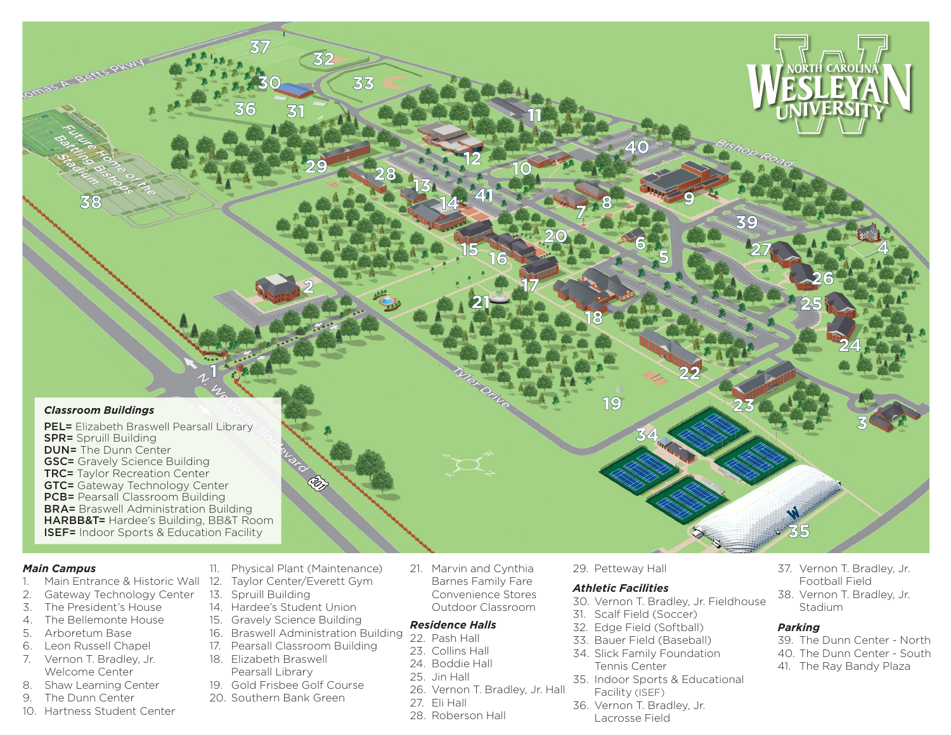

### *Main Campus*

- 1. Main Entrance & Historic Wall 12. Taylor Center/Everett Gym
- 2. Gateway Technology Center
- 3. The President's House
- 4. The Bellemonte House
- 5. Arboretum Base
- 6. Leon Russell Chapel
- 7. Vernon T. Bradley, Jr. Welcome Center
- 8. Shaw Learning Center
- 9. The Dunn Center
- 10. Hartness Student Center
- 11. Physical Plant (Maintenance)
- 
- 13. Spruill Building
- 14. Hardee's Student Union
- 15. Gravely Science Building
- 
- 
- 18. Elizabeth Braswell
- 
- 
- 
- 
- 
- 
- 
- 
- 
- 
- 
- 
- 
- 
- 16. Braswell Administration Building
- 
- 
- 19. Gold Frisbee Golf Course
- 
- 
- 
- 
- 
- 
- 
- 
- 
- 
- 
- 
- -
- 
- 
- 
- 
- 
- 17. Pearsall Classroom Building
	-
	- Pearsall Library
- 
- 20. Southern Bank Green
	- 27. Eli Hall
		- 28. Roberson Hall

26. Vernon T. Bradley, Jr. Hall

*Residence Halls* 22. Pash Hall 23. Collins Hall 24. Boddie Hall 25. Jin Hall

21. Marvin and Cynthia Barnes Family Fare Convenience Stores Outdoor Classroom

29. Petteway Hall

### *Athletic Facilities*

- 30. Vernon T. Bradley, Jr. Fieldhouse
- 31. Scalf Field (Soccer)
- 32. Edge Field (Softball)
- 33. Bauer Field (Baseball)
- 34. Slick Family Foundation Tennis Center
- 35. Indoor Sports & Educational Facility (ISEF)
- 36. Vernon T. Bradley, Jr. Lacrosse Field
- 37. Vernon T. Bradley, Jr. Football Field
- 38. Vernon T. Bradley, Jr. Stadium

### *Parking*

- 39. The Dunn Center North
- 40. The Dunn Center South
- 41. The Ray Bandy Plaza